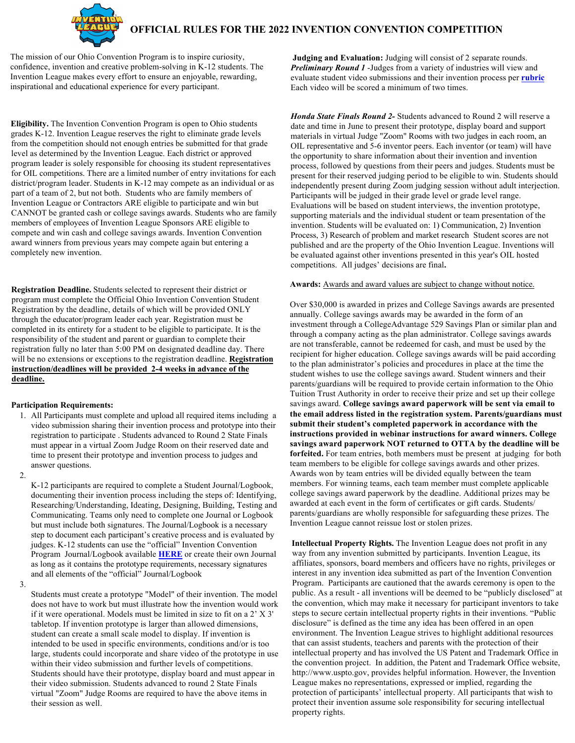

The mission of our Ohio Convention Program is to inspire curiosity, confidence, invention and creative problem-solving in K-12 students. The Invention League makes every effort to ensure an enjoyable, rewarding, inspirational and educational experience for every participant.

**Eligibility.** The Invention Convention Program is open to Ohio students grades K-12. Invention League reserves the right to eliminate grade levels from the competition should not enough entries be submitted for that grade level as determined by the Invention League. Each district or approved program leader is solely responsible for choosing its student representatives for OIL competitions. There are a limited number of entry invitations for each district/program leader. Students in K-12 may compete as an individual or as part of a team of 2, but not both. Students who are family members of Invention League or Contractors ARE eligible to participate and win but CANNOT be granted cash or college savings awards. Students who are family members of employees of Invention League Sponsors ARE eligible to compete and win cash and college savings awards. Invention Convention award winners from previous years may compete again but entering a completely new invention.

**Registration Deadline.** Students selected to represent their district or program must complete the Official Ohio Invention Convention Student Registration by the deadline, details of which will be provided ONLY through the educator/program leader each year. Registration must be completed in its entirety for a student to be eligible to participate. It is the responsibility of the student and parent or guardian to complete their registration fully no later than 5:00 PM on designated deadline day. There will be no extensions or exceptions to the registration deadline. **Registration instruction/deadlines will be provided 2-4 weeks in advance of the deadline.**

## **Participation Requirements:**

- 1. All Participants must complete and upload all required items including a video submission sharing their invention process and prototype into their registration to participate . Students advanced to Round 2 State Finals must appear in a virtual Zoom Judge Room on their reserved date and time to present their prototype and invention process to judges and answer questions.
- 2.

K-12 participants are required to complete a Student Journal/Logbook, documenting their invention process including the steps of: Identifying, Researching/Understanding, Ideating, Designing, Building, Testing and Communicating. Teams only need to complete one Journal or Logbook but must include both signatures. The Journal/Logbook is a necessary step to document each participant's creative process and is evaluated by judges. K-12 students can use the "official" Invention Convention Program Journal/Logbook available **[HERE](https://inventionconvention.org/ohio/wp-content/uploads/sites/21/2020-2021-Ohio-Invention-Convention-4-12-Journal-Word-Doc-1.docx)** or create their own Journal as long as it contains the prototype requirements, necessary signatures and all elements of the "official" Journal/Logbook

3.

Students must create a prototype "Model" of their invention. The model does not have to work but must illustrate how the invention would work if it were operational. Models must be limited in size to fit on a 2' X 3' tabletop. If invention prototype is larger than allowed dimensions, student can create a small scale model to display. If invention is intended to be used in specific environments, conditions and/or is too large, students could incorporate and share video of the prototype in use within their video submission and further levels of competitions. Students should have their prototype, display board and must appear in their video submission. Students advanced to round 2 State Finals virtual "Zoom" Judge Rooms are required to have the above items in their session as well.

**[Judging and Evaluation:](http://www.inventionconvention.org/)** Judging will consist of 2 separate rounds. *Preliminary Round 1* -Judges from a variety of industries will view and evaluate student video submissions and their invention process per **rubric** [Each vi](https://inventionconvention.org/ohio/wp-content/uploads/sites/21/2021-22-OILIC-Online-Rubric.pdf)deo will be scored a minimum of two times.

*Honda State Finals Round 2-* Students advanced to Round 2 will reserve a date and time in June to present their prototype, display board and support materials in virtual Judge "Zoom" Rooms with two judges in each room, an OIL representative and 5-6 inventor peers. Each inventor (or team) will have the opportunity to share information about their invention and invention process, followed by questions from their peers and judges. Students must be present for their reserved judging period to be eligible to win. Students should independently present during Zoom judging session without adult interjection. Participants will be judged in their grade level or grade level range. Evaluations will be based on student interviews, the invention prototype, supporting materials and the individual student or team presentation of the invention. Students will be evaluated on: 1) Communication, 2) Invention Process, 3) Research of problem and market research Student scores are not published and are the property of the Ohio Invention League. Inventions will be evaluated against other inventions presented in this year's OIL hosted competitions. All judges' decisions are final**.**

## **Awards:** Awards and award values are subject to change without notice.

Over \$30,000 is awarded in prizes and College Savings awards are presented annually. College savings awards may be awarded in the form of an investment through a CollegeAdvantage 529 Savings Plan or similar plan and through a company acting as the plan administrator. College savings awards are not transferable, cannot be redeemed for cash, and must be used by the recipient for higher education. College savings awards will be paid according to the plan administrator's policies and procedures in place at the time the student wishes to use the college savings award. Student winners and their parents/guardians will be required to provide certain information to the Ohio Tuition Trust Authority in order to receive their prize and set up their college savings award. **College savings award paperwork will be sent via email to the email address listed in the registration system. Parents/guardians must submit their student's completed paperwork in accordance with the instructions provided in webinar instructions for award winners. College savings award paperwork NOT returned to OTTA by the deadline will be forfeited.** For team entries, both members must be present at judging for both team members to be eligible for college savings awards and other prizes. Awards won by team entries will be divided equally between the team members. For winning teams, each team member must complete applicable college savings award paperwork by the deadline. Additional prizes may be awarded at each event in the form of certificates or gift cards. Students/ parents/guardians are wholly responsible for safeguarding these prizes. The Invention League cannot reissue lost or stolen prizes.

**Intellectual Property Rights.** The Invention League does not profit in any way from any invention submitted by participants. Invention League, its affiliates, sponsors, board members and officers have no rights, privileges or interest in any invention idea submitted as part of the Invention Convention Program. Participants are cautioned that the awards ceremony is open to the public. As a result - all inventions will be deemed to be "publicly disclosed" at the convention, which may make it necessary for participant inventors to take steps to secure certain intellectual property rights in their inventions. "Public disclosure" is defined as the time any idea has been offered in an open environment. The Invention League strives to highlight additional resources that can assist students, teachers and parents with the protection of their intellectual property and has involved the US Patent and Trademark Office in the convention project. In addition, the Patent and Trademark Office website, http://www.uspto.gov, provides helpful information. However, the Invention League makes no representations, expressed or implied, regarding the protection of participants' intellectual property. All participants that wish to protect their invention assume sole responsibility for securing intellectual property rights.